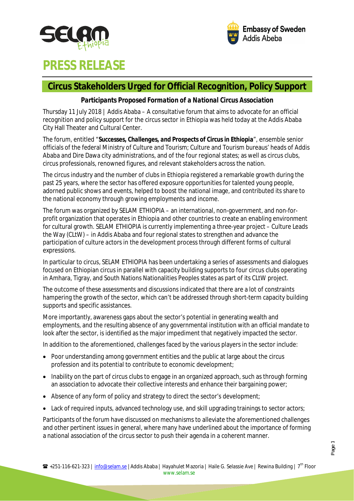



# **PRESS RELEASE**

# **Circus Stakeholders Urged for Official Recognition, Policy Support**

### *Participants Proposed Formation of a National Circus Association*

Thursday 11 July 2018 | Addis Ababa – A consultative forum that aims to advocate for an official recognition and policy support for the circus sector in Ethiopia was held today at the Addis Ababa City Hall Theater and Cultural Center.

The forum, entitled "*Successes, Challenges, and Prospects of Circus in Ethiopia*", ensemble senior officials of the federal Ministry of Culture and Tourism; Culture and Tourism bureaus' heads of Addis Ababa and Dire Dawa city administrations, and of the four regional states; as well as circus clubs, circus professionals, renowned figures, and relevant stakeholders across the nation.

The circus industry and the number of clubs in Ethiopia registered a remarkable growth during the past 25 years, where the sector has offered exposure opportunities for talented young people, adorned public shows and events, helped to boost the national image, and contributed its share to the national economy through growing employments and income.

The forum was organized by SELAM ETHIOPIA – an international, non-government, and non-forprofit organization that operates in Ethiopia and other countries to create an enabling environment for cultural growth. SELAM ETHIOPIA is currently implementing a three-year project – Culture Leads the Way (CLtW) – in Addis Ababa and four regional states to strengthen and advance the participation of culture actors in the development process through different forms of cultural expressions.

In particular to circus, SELAM ETHIOPIA has been undertaking a series of assessments and dialogues focused on Ethiopian circus in parallel with capacity building supports to four circus clubs operating in Amhara, Tigray, and South Nations Nationalities Peoples states as part of its CLtW project.

The outcome of these assessments and discussions indicated that there are a lot of constraints hampering the growth of the sector, which can't be addressed through short-term capacity building supports and specific assistances.

More importantly, awareness gaps about the sector's potential in generating wealth and employments, and the resulting absence of any governmental institution with an official mandate to look after the sector, is identified as the major impediment that negatively impacted the sector.

In addition to the aforementioned, challenges faced by the various players in the sector include:

- Poor understanding among government entities and the public at large about the circus profession and its potential to contribute to economic development;
- Inability on the part of circus clubs to engage in an organized approach, such as through forming an association to advocate their collective interests and enhance their bargaining power;
- Absence of any form of policy and strategy to direct the sector's development;
- Lack of required inputs, advanced technology use, and skill upgrading trainings to sector actors;

Participants of the forum have discussed on mechanisms to alleviate the aforementioned challenges and other pertinent issues in general, where many have underlined about the importance of forming a national association of the circus sector to push their agenda in a coherent manner.